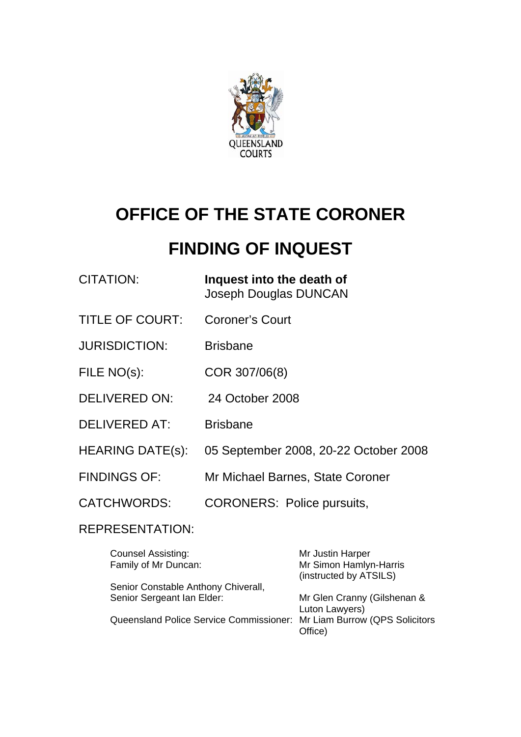

# **OFFICE OF THE STATE CORONER**

# **FINDING OF INQUEST**

| CITATION: | Inquest into the death of |
|-----------|---------------------------|
|           | Joseph Douglas DUNCAN     |

- TITLE OF COURT: Coroner's Court
- JURISDICTION: Brisbane
- FILE NO(s): COR 307/06(8)
- DELIVERED ON: 24 October 2008
- DELIVERED AT: Brisbane
- HEARING DATE(s): 05 September 2008, 20-22 October 2008
- FINDINGS OF: Mr Michael Barnes, State Coroner
- CATCHWORDS: CORONERS: Police pursuits,

### REPRESENTATION:

| Mr Justin Harper                                                                  |
|-----------------------------------------------------------------------------------|
| Mr Simon Hamlyn-Harris                                                            |
| (instructed by ATSILS)                                                            |
|                                                                                   |
| Mr Glen Cranny (Gilshenan &                                                       |
| Luton Lawyers)                                                                    |
| Queensland Police Service Commissioner: Mr Liam Burrow (QPS Solicitors<br>Office) |
|                                                                                   |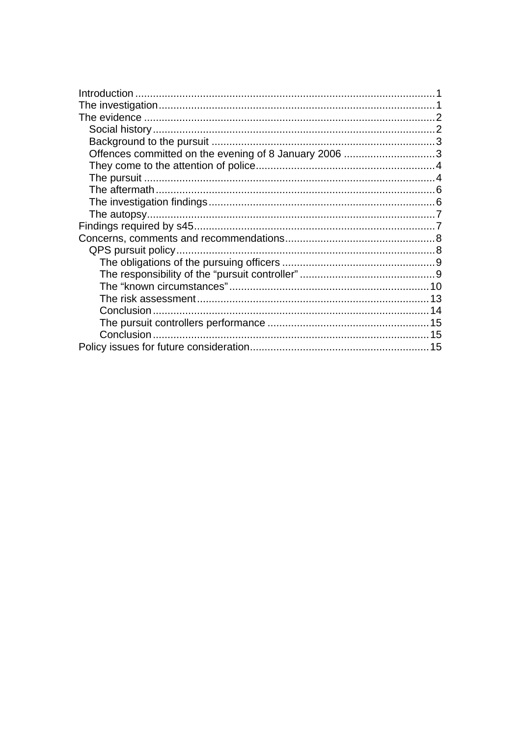| Offences committed on the evening of 8 January 2006 3 |    |
|-------------------------------------------------------|----|
|                                                       |    |
|                                                       |    |
|                                                       |    |
|                                                       |    |
|                                                       |    |
|                                                       |    |
|                                                       |    |
|                                                       |    |
|                                                       |    |
|                                                       |    |
|                                                       |    |
|                                                       |    |
|                                                       |    |
|                                                       |    |
|                                                       |    |
|                                                       | 15 |
|                                                       |    |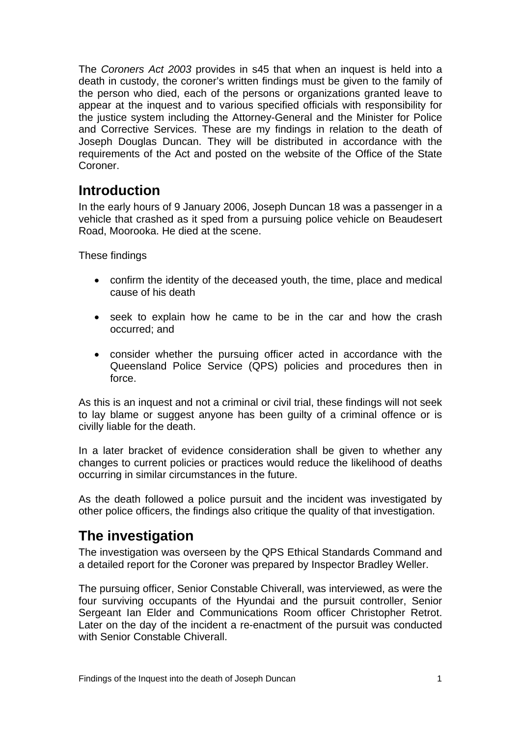<span id="page-2-0"></span>The *Coroners Act 2003* provides in s45 that when an inquest is held into a death in custody, the coroner's written findings must be given to the family of the person who died, each of the persons or organizations granted leave to appear at the inquest and to various specified officials with responsibility for the justice system including the Attorney-General and the Minister for Police and Corrective Services. These are my findings in relation to the death of Joseph Douglas Duncan. They will be distributed in accordance with the requirements of the Act and posted on the website of the Office of the State Coroner.

# **Introduction**

In the early hours of 9 January 2006, Joseph Duncan 18 was a passenger in a vehicle that crashed as it sped from a pursuing police vehicle on Beaudesert Road, Moorooka. He died at the scene.

These findings

- confirm the identity of the deceased youth, the time, place and medical cause of his death
- seek to explain how he came to be in the car and how the crash occurred; and
- consider whether the pursuing officer acted in accordance with the Queensland Police Service (QPS) policies and procedures then in force.

As this is an inquest and not a criminal or civil trial, these findings will not seek to lay blame or suggest anyone has been guilty of a criminal offence or is civilly liable for the death.

In a later bracket of evidence consideration shall be given to whether any changes to current policies or practices would reduce the likelihood of deaths occurring in similar circumstances in the future.

As the death followed a police pursuit and the incident was investigated by other police officers, the findings also critique the quality of that investigation.

# **The investigation**

The investigation was overseen by the QPS Ethical Standards Command and a detailed report for the Coroner was prepared by Inspector Bradley Weller.

The pursuing officer, Senior Constable Chiverall, was interviewed, as were the four surviving occupants of the Hyundai and the pursuit controller, Senior Sergeant Ian Elder and Communications Room officer Christopher Retrot. Later on the day of the incident a re-enactment of the pursuit was conducted with Senior Constable Chiverall.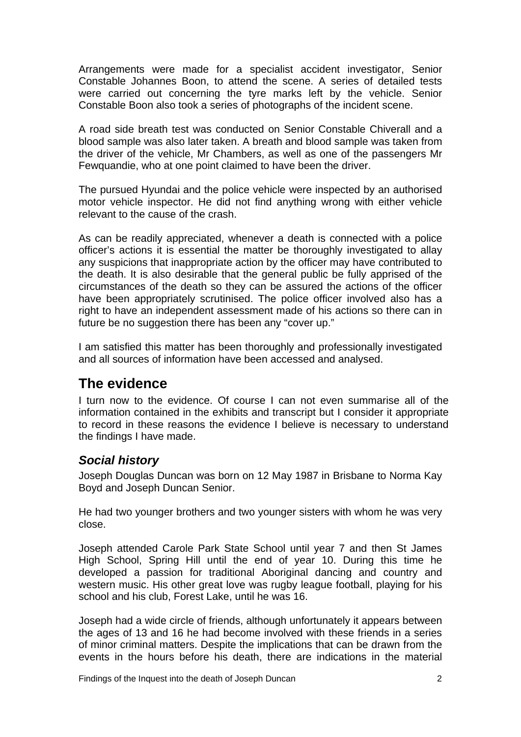<span id="page-3-0"></span>Arrangements were made for a specialist accident investigator, Senior Constable Johannes Boon, to attend the scene. A series of detailed tests were carried out concerning the tyre marks left by the vehicle. Senior Constable Boon also took a series of photographs of the incident scene.

A road side breath test was conducted on Senior Constable Chiverall and a blood sample was also later taken. A breath and blood sample was taken from the driver of the vehicle, Mr Chambers, as well as one of the passengers Mr Fewquandie, who at one point claimed to have been the driver.

The pursued Hyundai and the police vehicle were inspected by an authorised motor vehicle inspector. He did not find anything wrong with either vehicle relevant to the cause of the crash.

As can be readily appreciated, whenever a death is connected with a police officer's actions it is essential the matter be thoroughly investigated to allay any suspicions that inappropriate action by the officer may have contributed to the death. It is also desirable that the general public be fully apprised of the circumstances of the death so they can be assured the actions of the officer have been appropriately scrutinised. The police officer involved also has a right to have an independent assessment made of his actions so there can in future be no suggestion there has been any "cover up."

I am satisfied this matter has been thoroughly and professionally investigated and all sources of information have been accessed and analysed.

# **The evidence**

I turn now to the evidence. Of course I can not even summarise all of the information contained in the exhibits and transcript but I consider it appropriate to record in these reasons the evidence I believe is necessary to understand the findings I have made.

### *Social history*

Joseph Douglas Duncan was born on 12 May 1987 in Brisbane to Norma Kay Boyd and Joseph Duncan Senior.

He had two younger brothers and two younger sisters with whom he was very close.

Joseph attended Carole Park State School until year 7 and then St James High School, Spring Hill until the end of year 10. During this time he developed a passion for traditional Aboriginal dancing and country and western music. His other great love was rugby league football, playing for his school and his club, Forest Lake, until he was 16.

Joseph had a wide circle of friends, although unfortunately it appears between the ages of 13 and 16 he had become involved with these friends in a series of minor criminal matters. Despite the implications that can be drawn from the events in the hours before his death, there are indications in the material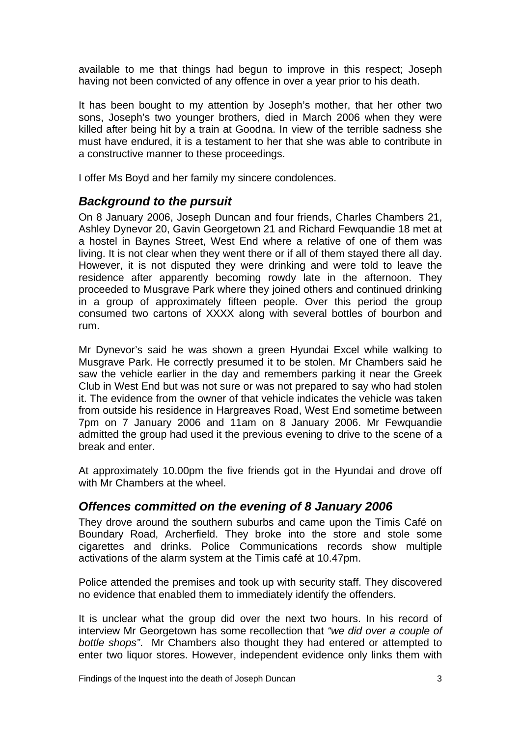<span id="page-4-0"></span>available to me that things had begun to improve in this respect; Joseph having not been convicted of any offence in over a year prior to his death.

It has been bought to my attention by Joseph's mother, that her other two sons, Joseph's two younger brothers, died in March 2006 when they were killed after being hit by a train at Goodna. In view of the terrible sadness she must have endured, it is a testament to her that she was able to contribute in a constructive manner to these proceedings.

I offer Ms Boyd and her family my sincere condolences.

### *Background to the pursuit*

On 8 January 2006, Joseph Duncan and four friends, Charles Chambers 21, Ashley Dynevor 20, Gavin Georgetown 21 and Richard Fewquandie 18 met at a hostel in Baynes Street, West End where a relative of one of them was living. It is not clear when they went there or if all of them stayed there all day. However, it is not disputed they were drinking and were told to leave the residence after apparently becoming rowdy late in the afternoon. They proceeded to Musgrave Park where they joined others and continued drinking in a group of approximately fifteen people. Over this period the group consumed two cartons of XXXX along with several bottles of bourbon and rum.

Mr Dynevor's said he was shown a green Hyundai Excel while walking to Musgrave Park. He correctly presumed it to be stolen. Mr Chambers said he saw the vehicle earlier in the day and remembers parking it near the Greek Club in West End but was not sure or was not prepared to say who had stolen it. The evidence from the owner of that vehicle indicates the vehicle was taken from outside his residence in Hargreaves Road, West End sometime between 7pm on 7 January 2006 and 11am on 8 January 2006. Mr Fewquandie admitted the group had used it the previous evening to drive to the scene of a break and enter.

At approximately 10.00pm the five friends got in the Hyundai and drove off with Mr Chambers at the wheel.

### *Offences committed on the evening of 8 January 2006*

They drove around the southern suburbs and came upon the Timis Café on Boundary Road, Archerfield. They broke into the store and stole some cigarettes and drinks. Police Communications records show multiple activations of the alarm system at the Timis café at 10.47pm.

Police attended the premises and took up with security staff. They discovered no evidence that enabled them to immediately identify the offenders.

It is unclear what the group did over the next two hours. In his record of interview Mr Georgetown has some recollection that *"we did over a couple of bottle shops"*. Mr Chambers also thought they had entered or attempted to enter two liquor stores. However, independent evidence only links them with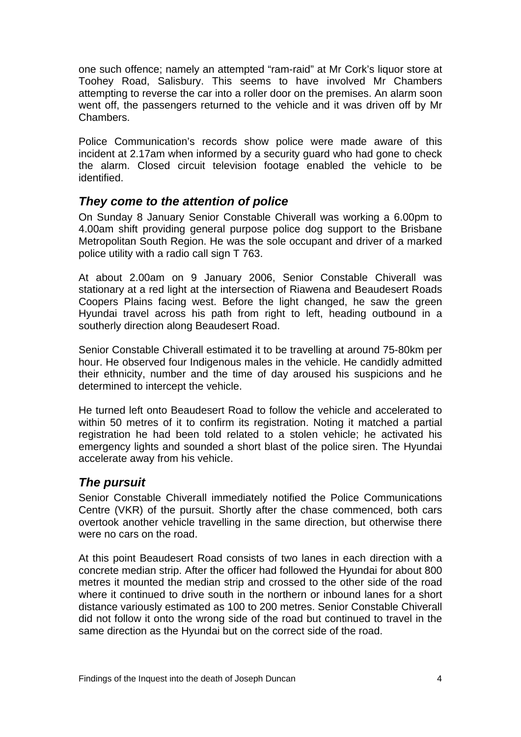<span id="page-5-0"></span>one such offence; namely an attempted "ram-raid" at Mr Cork's liquor store at Toohey Road, Salisbury. This seems to have involved Mr Chambers attempting to reverse the car into a roller door on the premises. An alarm soon went off, the passengers returned to the vehicle and it was driven off by Mr Chambers.

Police Communication's records show police were made aware of this incident at 2.17am when informed by a security guard who had gone to check the alarm. Closed circuit television footage enabled the vehicle to be identified.

### *They come to the attention of police*

On Sunday 8 January Senior Constable Chiverall was working a 6.00pm to 4.00am shift providing general purpose police dog support to the Brisbane Metropolitan South Region. He was the sole occupant and driver of a marked police utility with a radio call sign T 763.

At about 2.00am on 9 January 2006, Senior Constable Chiverall was stationary at a red light at the intersection of Riawena and Beaudesert Roads Coopers Plains facing west. Before the light changed, he saw the green Hyundai travel across his path from right to left, heading outbound in a southerly direction along Beaudesert Road.

Senior Constable Chiverall estimated it to be travelling at around 75-80km per hour. He observed four Indigenous males in the vehicle. He candidly admitted their ethnicity, number and the time of day aroused his suspicions and he determined to intercept the vehicle.

He turned left onto Beaudesert Road to follow the vehicle and accelerated to within 50 metres of it to confirm its registration. Noting it matched a partial registration he had been told related to a stolen vehicle; he activated his emergency lights and sounded a short blast of the police siren. The Hyundai accelerate away from his vehicle.

## *The pursuit*

Senior Constable Chiverall immediately notified the Police Communications Centre (VKR) of the pursuit. Shortly after the chase commenced, both cars overtook another vehicle travelling in the same direction, but otherwise there were no cars on the road.

At this point Beaudesert Road consists of two lanes in each direction with a concrete median strip. After the officer had followed the Hyundai for about 800 metres it mounted the median strip and crossed to the other side of the road where it continued to drive south in the northern or inbound lanes for a short distance variously estimated as 100 to 200 metres. Senior Constable Chiverall did not follow it onto the wrong side of the road but continued to travel in the same direction as the Hyundai but on the correct side of the road.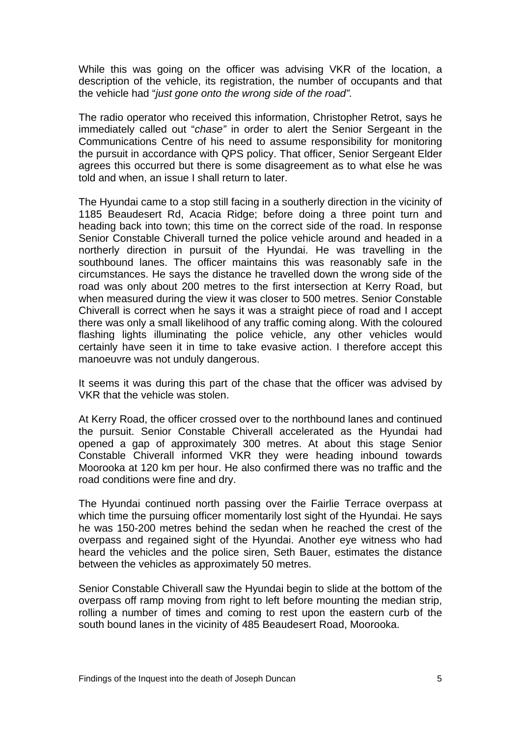While this was going on the officer was advising VKR of the location, a description of the vehicle, its registration, the number of occupants and that the vehicle had "*just gone onto the wrong side of the road".*

The radio operator who received this information, Christopher Retrot, says he immediately called out "*chase"* in order to alert the Senior Sergeant in the Communications Centre of his need to assume responsibility for monitoring the pursuit in accordance with QPS policy. That officer, Senior Sergeant Elder agrees this occurred but there is some disagreement as to what else he was told and when, an issue I shall return to later.

The Hyundai came to a stop still facing in a southerly direction in the vicinity of 1185 Beaudesert Rd, Acacia Ridge; before doing a three point turn and heading back into town; this time on the correct side of the road. In response Senior Constable Chiverall turned the police vehicle around and headed in a northerly direction in pursuit of the Hyundai. He was travelling in the southbound lanes. The officer maintains this was reasonably safe in the circumstances. He says the distance he travelled down the wrong side of the road was only about 200 metres to the first intersection at Kerry Road, but when measured during the view it was closer to 500 metres. Senior Constable Chiverall is correct when he says it was a straight piece of road and I accept there was only a small likelihood of any traffic coming along. With the coloured flashing lights illuminating the police vehicle, any other vehicles would certainly have seen it in time to take evasive action. I therefore accept this manoeuvre was not unduly dangerous.

It seems it was during this part of the chase that the officer was advised by VKR that the vehicle was stolen.

At Kerry Road, the officer crossed over to the northbound lanes and continued the pursuit. Senior Constable Chiverall accelerated as the Hyundai had opened a gap of approximately 300 metres. At about this stage Senior Constable Chiverall informed VKR they were heading inbound towards Moorooka at 120 km per hour. He also confirmed there was no traffic and the road conditions were fine and dry.

The Hyundai continued north passing over the Fairlie Terrace overpass at which time the pursuing officer momentarily lost sight of the Hyundai. He says he was 150-200 metres behind the sedan when he reached the crest of the overpass and regained sight of the Hyundai. Another eye witness who had heard the vehicles and the police siren, Seth Bauer, estimates the distance between the vehicles as approximately 50 metres.

Senior Constable Chiverall saw the Hyundai begin to slide at the bottom of the overpass off ramp moving from right to left before mounting the median strip, rolling a number of times and coming to rest upon the eastern curb of the south bound lanes in the vicinity of 485 Beaudesert Road, Moorooka.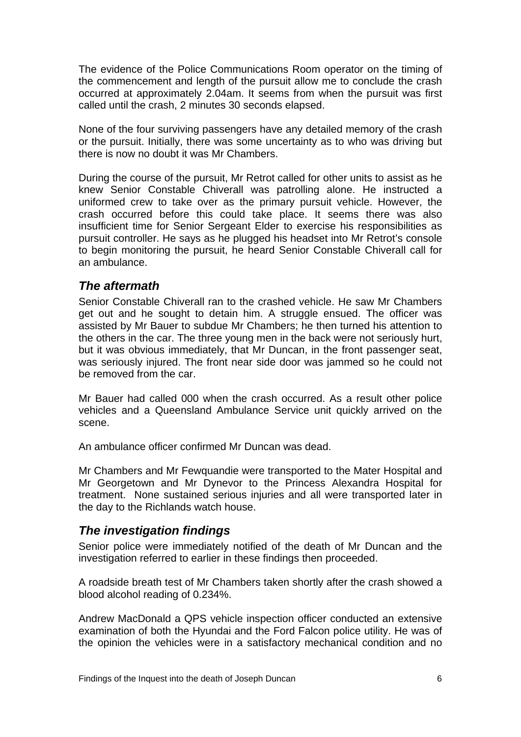<span id="page-7-0"></span>The evidence of the Police Communications Room operator on the timing of the commencement and length of the pursuit allow me to conclude the crash occurred at approximately 2.04am. It seems from when the pursuit was first called until the crash, 2 minutes 30 seconds elapsed.

None of the four surviving passengers have any detailed memory of the crash or the pursuit. Initially, there was some uncertainty as to who was driving but there is now no doubt it was Mr Chambers.

During the course of the pursuit, Mr Retrot called for other units to assist as he knew Senior Constable Chiverall was patrolling alone. He instructed a uniformed crew to take over as the primary pursuit vehicle. However, the crash occurred before this could take place. It seems there was also insufficient time for Senior Sergeant Elder to exercise his responsibilities as pursuit controller. He says as he plugged his headset into Mr Retrot's console to begin monitoring the pursuit, he heard Senior Constable Chiverall call for an ambulance.

### *The aftermath*

Senior Constable Chiverall ran to the crashed vehicle. He saw Mr Chambers get out and he sought to detain him. A struggle ensued. The officer was assisted by Mr Bauer to subdue Mr Chambers; he then turned his attention to the others in the car. The three young men in the back were not seriously hurt, but it was obvious immediately, that Mr Duncan, in the front passenger seat, was seriously injured. The front near side door was jammed so he could not be removed from the car.

Mr Bauer had called 000 when the crash occurred. As a result other police vehicles and a Queensland Ambulance Service unit quickly arrived on the scene.

An ambulance officer confirmed Mr Duncan was dead.

Mr Chambers and Mr Fewquandie were transported to the Mater Hospital and Mr Georgetown and Mr Dynevor to the Princess Alexandra Hospital for treatment. None sustained serious injuries and all were transported later in the day to the Richlands watch house.

### *The investigation findings*

Senior police were immediately notified of the death of Mr Duncan and the investigation referred to earlier in these findings then proceeded.

A roadside breath test of Mr Chambers taken shortly after the crash showed a blood alcohol reading of 0.234%.

Andrew MacDonald a QPS vehicle inspection officer conducted an extensive examination of both the Hyundai and the Ford Falcon police utility. He was of the opinion the vehicles were in a satisfactory mechanical condition and no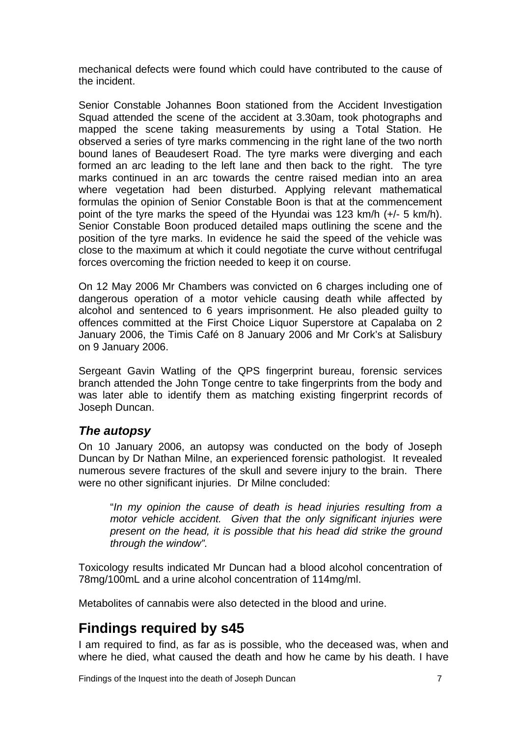<span id="page-8-0"></span>mechanical defects were found which could have contributed to the cause of the incident.

Senior Constable Johannes Boon stationed from the Accident Investigation Squad attended the scene of the accident at 3.30am, took photographs and mapped the scene taking measurements by using a Total Station. He observed a series of tyre marks commencing in the right lane of the two north bound lanes of Beaudesert Road. The tyre marks were diverging and each formed an arc leading to the left lane and then back to the right. The tyre marks continued in an arc towards the centre raised median into an area where vegetation had been disturbed. Applying relevant mathematical formulas the opinion of Senior Constable Boon is that at the commencement point of the tyre marks the speed of the Hyundai was 123 km/h (+/- 5 km/h). Senior Constable Boon produced detailed maps outlining the scene and the position of the tyre marks. In evidence he said the speed of the vehicle was close to the maximum at which it could negotiate the curve without centrifugal forces overcoming the friction needed to keep it on course.

On 12 May 2006 Mr Chambers was convicted on 6 charges including one of dangerous operation of a motor vehicle causing death while affected by alcohol and sentenced to 6 years imprisonment. He also pleaded guilty to offences committed at the First Choice Liquor Superstore at Capalaba on 2 January 2006, the Timis Café on 8 January 2006 and Mr Cork's at Salisbury on 9 January 2006.

Sergeant Gavin Watling of the QPS fingerprint bureau, forensic services branch attended the John Tonge centre to take fingerprints from the body and was later able to identify them as matching existing fingerprint records of Joseph Duncan.

### *The autopsy*

On 10 January 2006, an autopsy was conducted on the body of Joseph Duncan by Dr Nathan Milne, an experienced forensic pathologist. It revealed numerous severe fractures of the skull and severe injury to the brain. There were no other significant injuries. Dr Milne concluded:

 "*In my opinion the cause of death is head injuries resulting from a motor vehicle accident. Given that the only significant injuries were present on the head, it is possible that his head did strike the ground through the window".* 

Toxicology results indicated Mr Duncan had a blood alcohol concentration of 78mg/100mL and a urine alcohol concentration of 114mg/ml.

Metabolites of cannabis were also detected in the blood and urine.

# **Findings required by s45**

I am required to find, as far as is possible, who the deceased was, when and where he died, what caused the death and how he came by his death. I have

Findings of the Inquest into the death of Joseph Duncan 7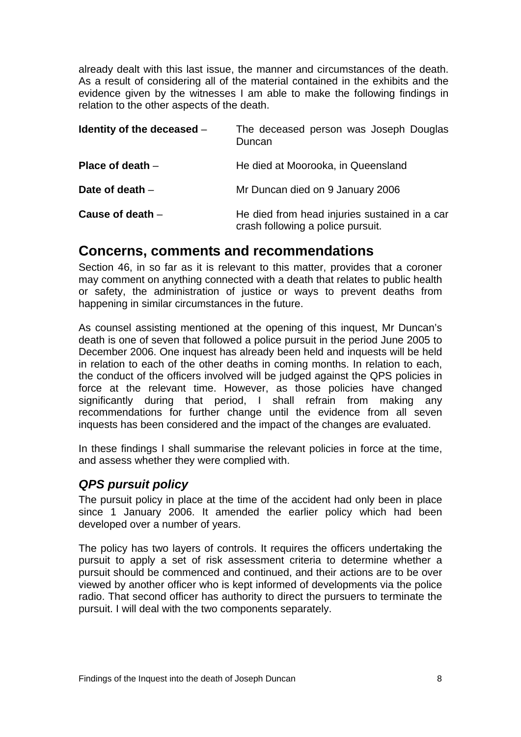<span id="page-9-0"></span>already dealt with this last issue, the manner and circumstances of the death. As a result of considering all of the material contained in the exhibits and the evidence given by the witnesses I am able to make the following findings in relation to the other aspects of the death.

| Identity of the deceased $-$ | The deceased person was Joseph Douglas<br>Duncan                                   |
|------------------------------|------------------------------------------------------------------------------------|
| Place of death $-$           | He died at Moorooka, in Queensland                                                 |
| Date of death -              | Mr Duncan died on 9 January 2006                                                   |
| Cause of death $-$           | He died from head injuries sustained in a car<br>crash following a police pursuit. |

## **Concerns, comments and recommendations**

Section 46, in so far as it is relevant to this matter, provides that a coroner may comment on anything connected with a death that relates to public health or safety, the administration of justice or ways to prevent deaths from happening in similar circumstances in the future.

As counsel assisting mentioned at the opening of this inquest, Mr Duncan's death is one of seven that followed a police pursuit in the period June 2005 to December 2006. One inquest has already been held and inquests will be held in relation to each of the other deaths in coming months. In relation to each, the conduct of the officers involved will be judged against the QPS policies in force at the relevant time. However, as those policies have changed significantly during that period. I shall refrain from making any recommendations for further change until the evidence from all seven inquests has been considered and the impact of the changes are evaluated.

In these findings I shall summarise the relevant policies in force at the time, and assess whether they were complied with.

### *QPS pursuit policy*

The pursuit policy in place at the time of the accident had only been in place since 1 January 2006. It amended the earlier policy which had been developed over a number of years.

The policy has two layers of controls. It requires the officers undertaking the pursuit to apply a set of risk assessment criteria to determine whether a pursuit should be commenced and continued, and their actions are to be over viewed by another officer who is kept informed of developments via the police radio. That second officer has authority to direct the pursuers to terminate the pursuit. I will deal with the two components separately.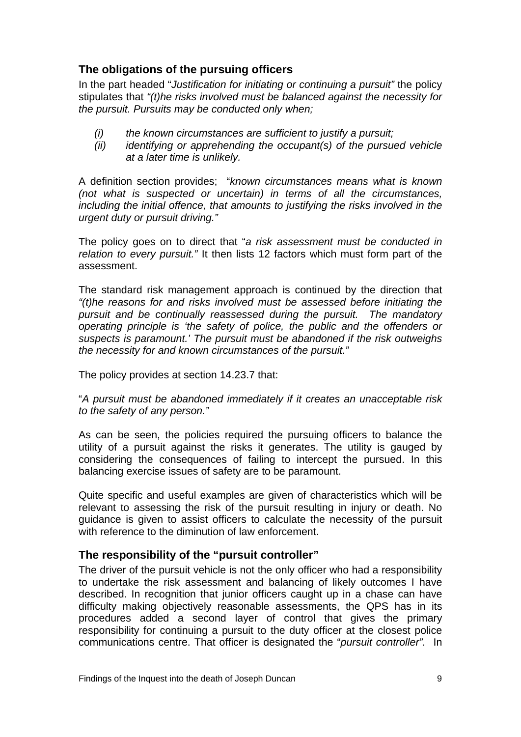### <span id="page-10-0"></span>**The obligations of the pursuing officers**

In the part headed "*Justification for initiating or continuing a pursuit"* the policy stipulates that *"(t)he risks involved must be balanced against the necessity for the pursuit. Pursuits may be conducted only when;* 

- *(i) the known circumstances are sufficient to justify a pursuit;*
- *(ii) identifying or apprehending the occupant(s) of the pursued vehicle at a later time is unlikely.*

A definition section provides; "*known circumstances means what is known (not what is suspected or uncertain) in terms of all the circumstances, including the initial offence, that amounts to justifying the risks involved in the urgent duty or pursuit driving."* 

The policy goes on to direct that "*a risk assessment must be conducted in relation to every pursuit."* It then lists 12 factors which must form part of the assessment.

The standard risk management approach is continued by the direction that *"(t)he reasons for and risks involved must be assessed before initiating the pursuit and be continually reassessed during the pursuit. The mandatory operating principle is 'the safety of police, the public and the offenders or suspects is paramount.' The pursuit must be abandoned if the risk outweighs the necessity for and known circumstances of the pursuit."* 

The policy provides at section 14.23.7 that:

"*A pursuit must be abandoned immediately if it creates an unacceptable risk to the safety of any person."* 

As can be seen, the policies required the pursuing officers to balance the utility of a pursuit against the risks it generates. The utility is gauged by considering the consequences of failing to intercept the pursued. In this balancing exercise issues of safety are to be paramount.

Quite specific and useful examples are given of characteristics which will be relevant to assessing the risk of the pursuit resulting in injury or death. No guidance is given to assist officers to calculate the necessity of the pursuit with reference to the diminution of law enforcement.

### **The responsibility of the "pursuit controller"**

The driver of the pursuit vehicle is not the only officer who had a responsibility to undertake the risk assessment and balancing of likely outcomes I have described. In recognition that junior officers caught up in a chase can have difficulty making objectively reasonable assessments, the QPS has in its procedures added a second layer of control that gives the primary responsibility for continuing a pursuit to the duty officer at the closest police communications centre. That officer is designated the "*pursuit controller".* In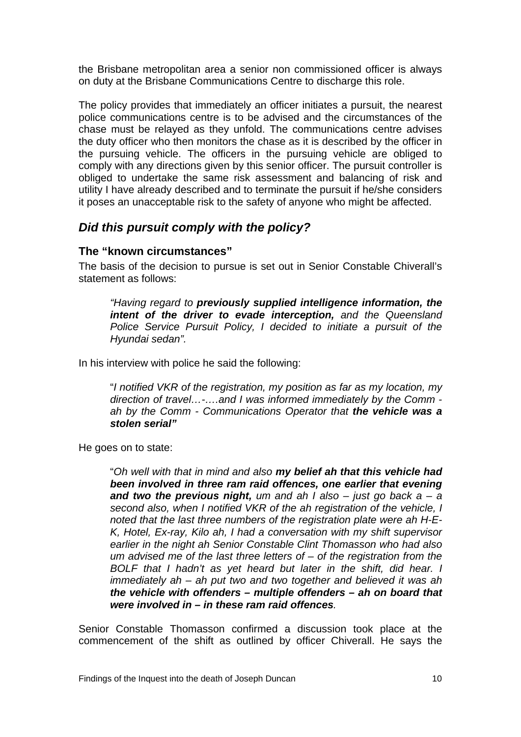<span id="page-11-0"></span>the Brisbane metropolitan area a senior non commissioned officer is always on duty at the Brisbane Communications Centre to discharge this role.

The policy provides that immediately an officer initiates a pursuit, the nearest police communications centre is to be advised and the circumstances of the chase must be relayed as they unfold. The communications centre advises the duty officer who then monitors the chase as it is described by the officer in the pursuing vehicle. The officers in the pursuing vehicle are obliged to comply with any directions given by this senior officer. The pursuit controller is obliged to undertake the same risk assessment and balancing of risk and utility I have already described and to terminate the pursuit if he/she considers it poses an unacceptable risk to the safety of anyone who might be affected.

### *Did this pursuit comply with the policy?*

#### **The "known circumstances"**

The basis of the decision to pursue is set out in Senior Constable Chiverall's statement as follows:

*"Having regard to previously supplied intelligence information, the intent of the driver to evade interception, and the Queensland Police Service Pursuit Policy, I decided to initiate a pursuit of the Hyundai sedan".*

In his interview with police he said the following:

"*I notified VKR of the registration, my position as far as my location, my direction of travel…-….and I was informed immediately by the Comm ah by the Comm - Communications Operator that the vehicle was a stolen serial"* 

He goes on to state:

 "*Oh well with that in mind and also my belief ah that this vehicle had been involved in three ram raid offences, one earlier that evening and two the previous night, um and ah I also – just go back a – a second also, when I notified VKR of the ah registration of the vehicle, I noted that the last three numbers of the registration plate were ah H-E-K, Hotel, Ex-ray, Kilo ah, I had a conversation with my shift supervisor earlier in the night ah Senior Constable Clint Thomasson who had also um advised me of the last three letters of – of the registration from the BOLF that I hadn't as yet heard but later in the shift, did hear. I immediately ah – ah put two and two together and believed it was ah the vehicle with offenders – multiple offenders – ah on board that were involved in – in these ram raid offences.* 

Senior Constable Thomasson confirmed a discussion took place at the commencement of the shift as outlined by officer Chiverall. He says the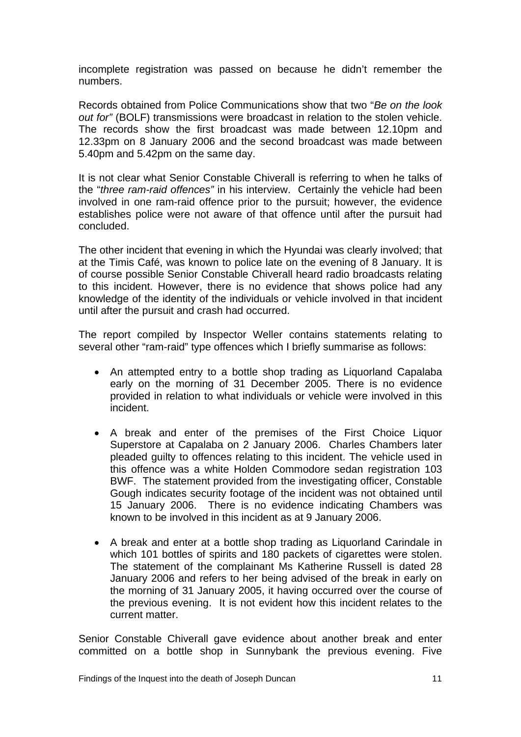incomplete registration was passed on because he didn't remember the numbers.

Records obtained from Police Communications show that two "*Be on the look out for"* (BOLF) transmissions were broadcast in relation to the stolen vehicle. The records show the first broadcast was made between 12.10pm and 12.33pm on 8 January 2006 and the second broadcast was made between 5.40pm and 5.42pm on the same day.

It is not clear what Senior Constable Chiverall is referring to when he talks of the "*three ram-raid offences"* in his interview. Certainly the vehicle had been involved in one ram-raid offence prior to the pursuit; however, the evidence establishes police were not aware of that offence until after the pursuit had concluded.

The other incident that evening in which the Hyundai was clearly involved; that at the Timis Café, was known to police late on the evening of 8 January. It is of course possible Senior Constable Chiverall heard radio broadcasts relating to this incident. However, there is no evidence that shows police had any knowledge of the identity of the individuals or vehicle involved in that incident until after the pursuit and crash had occurred.

The report compiled by Inspector Weller contains statements relating to several other "ram-raid" type offences which I briefly summarise as follows:

- An attempted entry to a bottle shop trading as Liquorland Capalaba early on the morning of 31 December 2005. There is no evidence provided in relation to what individuals or vehicle were involved in this incident.
- A break and enter of the premises of the First Choice Liquor Superstore at Capalaba on 2 January 2006. Charles Chambers later pleaded guilty to offences relating to this incident. The vehicle used in this offence was a white Holden Commodore sedan registration 103 BWF. The statement provided from the investigating officer, Constable Gough indicates security footage of the incident was not obtained until 15 January 2006. There is no evidence indicating Chambers was known to be involved in this incident as at 9 January 2006.
- A break and enter at a bottle shop trading as Liquorland Carindale in which 101 bottles of spirits and 180 packets of cigarettes were stolen. The statement of the complainant Ms Katherine Russell is dated 28 January 2006 and refers to her being advised of the break in early on the morning of 31 January 2005, it having occurred over the course of the previous evening. It is not evident how this incident relates to the current matter.

Senior Constable Chiverall gave evidence about another break and enter committed on a bottle shop in Sunnybank the previous evening. Five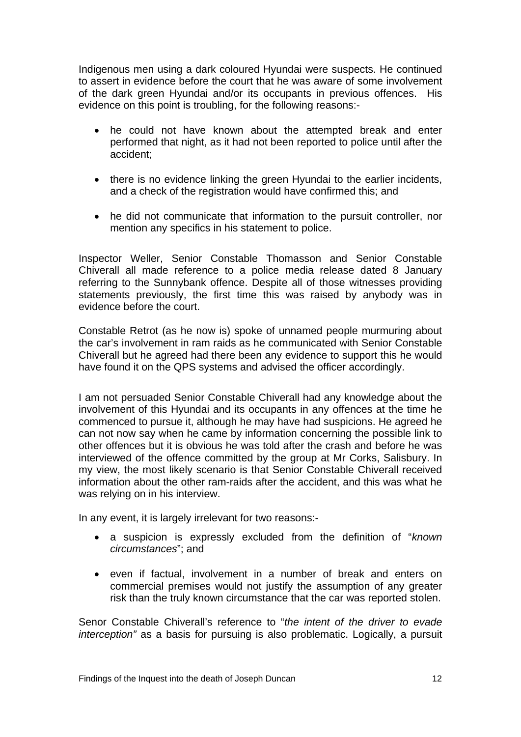Indigenous men using a dark coloured Hyundai were suspects. He continued to assert in evidence before the court that he was aware of some involvement of the dark green Hyundai and/or its occupants in previous offences. His evidence on this point is troubling, for the following reasons:-

- he could not have known about the attempted break and enter performed that night, as it had not been reported to police until after the accident;
- there is no evidence linking the green Hyundai to the earlier incidents, and a check of the registration would have confirmed this; and
- he did not communicate that information to the pursuit controller, nor mention any specifics in his statement to police.

Inspector Weller, Senior Constable Thomasson and Senior Constable Chiverall all made reference to a police media release dated 8 January referring to the Sunnybank offence. Despite all of those witnesses providing statements previously, the first time this was raised by anybody was in evidence before the court.

Constable Retrot (as he now is) spoke of unnamed people murmuring about the car's involvement in ram raids as he communicated with Senior Constable Chiverall but he agreed had there been any evidence to support this he would have found it on the QPS systems and advised the officer accordingly.

I am not persuaded Senior Constable Chiverall had any knowledge about the involvement of this Hyundai and its occupants in any offences at the time he commenced to pursue it, although he may have had suspicions. He agreed he can not now say when he came by information concerning the possible link to other offences but it is obvious he was told after the crash and before he was interviewed of the offence committed by the group at Mr Corks, Salisbury. In my view, the most likely scenario is that Senior Constable Chiverall received information about the other ram-raids after the accident, and this was what he was relying on in his interview.

In any event, it is largely irrelevant for two reasons:-

- a suspicion is expressly excluded from the definition of "*known circumstances*"; and
- even if factual, involvement in a number of break and enters on commercial premises would not justify the assumption of any greater risk than the truly known circumstance that the car was reported stolen.

Senor Constable Chiverall's reference to "*the intent of the driver to evade interception"* as a basis for pursuing is also problematic. Logically, a pursuit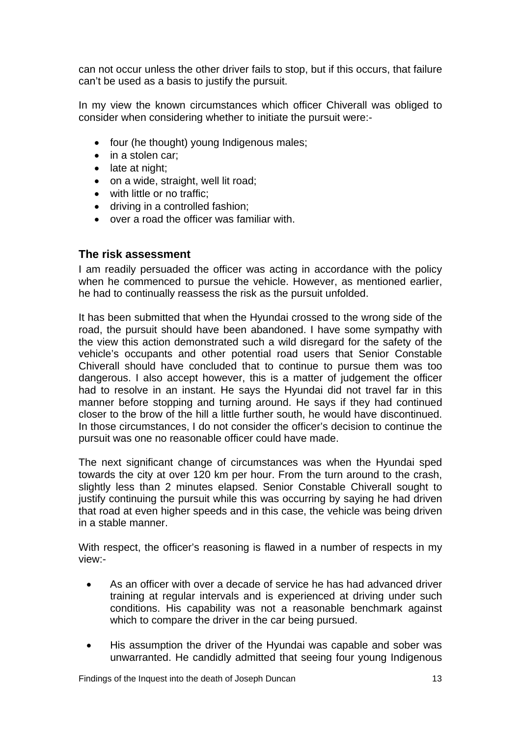<span id="page-14-0"></span>can not occur unless the other driver fails to stop, but if this occurs, that failure can't be used as a basis to justify the pursuit.

In my view the known circumstances which officer Chiverall was obliged to consider when considering whether to initiate the pursuit were:-

- four (he thought) young Indigenous males:
- in a stolen car;
- late at night;
- on a wide, straight, well lit road;
- with little or no traffic:
- driving in a controlled fashion:
- over a road the officer was familiar with.

#### **The risk assessment**

I am readily persuaded the officer was acting in accordance with the policy when he commenced to pursue the vehicle. However, as mentioned earlier, he had to continually reassess the risk as the pursuit unfolded.

It has been submitted that when the Hyundai crossed to the wrong side of the road, the pursuit should have been abandoned. I have some sympathy with the view this action demonstrated such a wild disregard for the safety of the vehicle's occupants and other potential road users that Senior Constable Chiverall should have concluded that to continue to pursue them was too dangerous. I also accept however, this is a matter of judgement the officer had to resolve in an instant. He says the Hyundai did not travel far in this manner before stopping and turning around. He says if they had continued closer to the brow of the hill a little further south, he would have discontinued. In those circumstances, I do not consider the officer's decision to continue the pursuit was one no reasonable officer could have made.

The next significant change of circumstances was when the Hyundai sped towards the city at over 120 km per hour. From the turn around to the crash, slightly less than 2 minutes elapsed. Senior Constable Chiverall sought to justify continuing the pursuit while this was occurring by saying he had driven that road at even higher speeds and in this case, the vehicle was being driven in a stable manner.

With respect, the officer's reasoning is flawed in a number of respects in my view:-

- As an officer with over a decade of service he has had advanced driver training at regular intervals and is experienced at driving under such conditions. His capability was not a reasonable benchmark against which to compare the driver in the car being pursued.
- His assumption the driver of the Hyundai was capable and sober was unwarranted. He candidly admitted that seeing four young Indigenous

Findings of the Inquest into the death of Joseph Duncan 13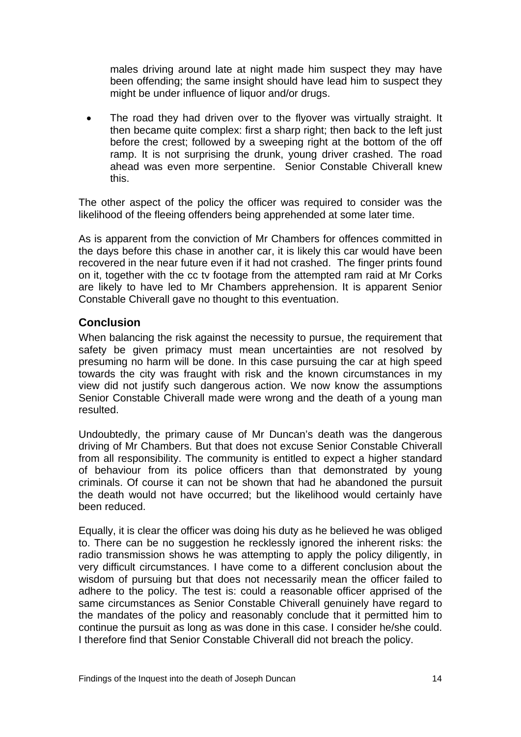<span id="page-15-0"></span>males driving around late at night made him suspect they may have been offending; the same insight should have lead him to suspect they might be under influence of liquor and/or drugs.

The road they had driven over to the flyover was virtually straight. It then became quite complex: first a sharp right; then back to the left just before the crest; followed by a sweeping right at the bottom of the off ramp. It is not surprising the drunk, young driver crashed. The road ahead was even more serpentine. Senior Constable Chiverall knew this.

The other aspect of the policy the officer was required to consider was the likelihood of the fleeing offenders being apprehended at some later time.

As is apparent from the conviction of Mr Chambers for offences committed in the days before this chase in another car, it is likely this car would have been recovered in the near future even if it had not crashed. The finger prints found on it, together with the cc tv footage from the attempted ram raid at Mr Corks are likely to have led to Mr Chambers apprehension. It is apparent Senior Constable Chiverall gave no thought to this eventuation.

#### **Conclusion**

When balancing the risk against the necessity to pursue, the requirement that safety be given primacy must mean uncertainties are not resolved by presuming no harm will be done. In this case pursuing the car at high speed towards the city was fraught with risk and the known circumstances in my view did not justify such dangerous action. We now know the assumptions Senior Constable Chiverall made were wrong and the death of a young man resulted.

Undoubtedly, the primary cause of Mr Duncan's death was the dangerous driving of Mr Chambers. But that does not excuse Senior Constable Chiverall from all responsibility. The community is entitled to expect a higher standard of behaviour from its police officers than that demonstrated by young criminals. Of course it can not be shown that had he abandoned the pursuit the death would not have occurred; but the likelihood would certainly have been reduced.

Equally, it is clear the officer was doing his duty as he believed he was obliged to. There can be no suggestion he recklessly ignored the inherent risks: the radio transmission shows he was attempting to apply the policy diligently, in very difficult circumstances. I have come to a different conclusion about the wisdom of pursuing but that does not necessarily mean the officer failed to adhere to the policy. The test is: could a reasonable officer apprised of the same circumstances as Senior Constable Chiverall genuinely have regard to the mandates of the policy and reasonably conclude that it permitted him to continue the pursuit as long as was done in this case. I consider he/she could. I therefore find that Senior Constable Chiverall did not breach the policy.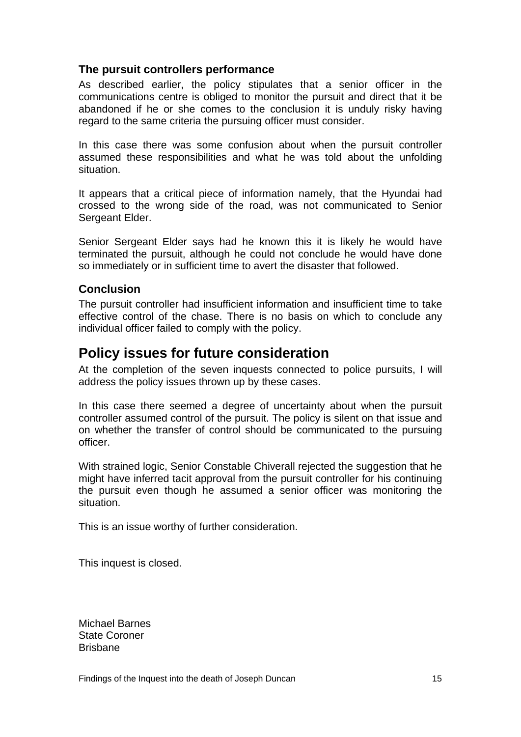### <span id="page-16-0"></span>**The pursuit controllers performance**

As described earlier, the policy stipulates that a senior officer in the communications centre is obliged to monitor the pursuit and direct that it be abandoned if he or she comes to the conclusion it is unduly risky having regard to the same criteria the pursuing officer must consider.

In this case there was some confusion about when the pursuit controller assumed these responsibilities and what he was told about the unfolding situation.

It appears that a critical piece of information namely, that the Hyundai had crossed to the wrong side of the road, was not communicated to Senior Sergeant Elder.

Senior Sergeant Elder says had he known this it is likely he would have terminated the pursuit, although he could not conclude he would have done so immediately or in sufficient time to avert the disaster that followed.

#### **Conclusion**

The pursuit controller had insufficient information and insufficient time to take effective control of the chase. There is no basis on which to conclude any individual officer failed to comply with the policy.

## **Policy issues for future consideration**

At the completion of the seven inquests connected to police pursuits, I will address the policy issues thrown up by these cases.

In this case there seemed a degree of uncertainty about when the pursuit controller assumed control of the pursuit. The policy is silent on that issue and on whether the transfer of control should be communicated to the pursuing officer.

With strained logic, Senior Constable Chiverall rejected the suggestion that he might have inferred tacit approval from the pursuit controller for his continuing the pursuit even though he assumed a senior officer was monitoring the situation.

This is an issue worthy of further consideration.

This inquest is closed.

Michael Barnes State Coroner Brisbane

Findings of the Inquest into the death of Joseph Duncan 15